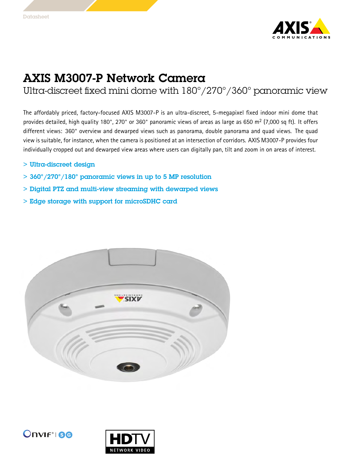

## AXIS M3007-P Network Camera

Ultra-discreet fixed mini dome with 180°/270°/360° panoramic view

The affordably priced, factory-focused AXIS M3007-P is an ultra-discreet, 5-megapixel fixed indoor mini dome that provides detailed, high quality 180°, 270° or 360° panoramic views of areas as large as 650 m<sup>2</sup> (7,000 sq ft). It offers different views: 360° overview and dewarped views such as panorama, double panorama and quad views. The quad view is suitable, for instance, when the camera is positioned at an intersection of corridors. AXIS M3007-P provides four individually cropped out and dewarped view areas where users can digitally pan, tilt and zoom in on areas of interest.

- <sup>&</sup>gt; Ultra-discreet design
- <sup>&</sup>gt; 360°/270°/180° panoramic views in up to <sup>5</sup> MP resolution
- <sup>&</sup>gt; Digital PTZ and multi-view streaming with dewarped views
- <sup>&</sup>gt; Edge storage with support for microSDHC card